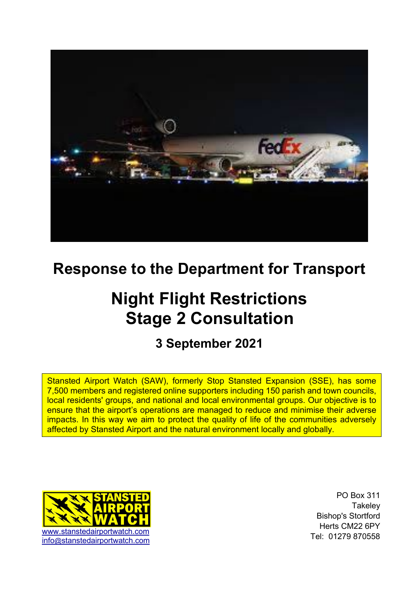

# **Response to the Department for Transport**

# **Night Flight Restrictions Stage 2 Consultation**

# **3 September 2021**

Stansted Airport Watch (SAW), formerly Stop Stansted Expansion (SSE), has some 7,500 members and registered online supporters including 150 parish and town councils, local residents' groups, and national and local environmental groups. Our objective is to ensure that the airport's operations are managed to reduce and minimise their adverse impacts. In this way we aim to protect the quality of life of the communities adversely affected by Stansted Airport and the natural environment locally and globally.



PO Box 311 **Takeley** Bishop's Stortford Herts CM22 6PY Tel: 01279 870558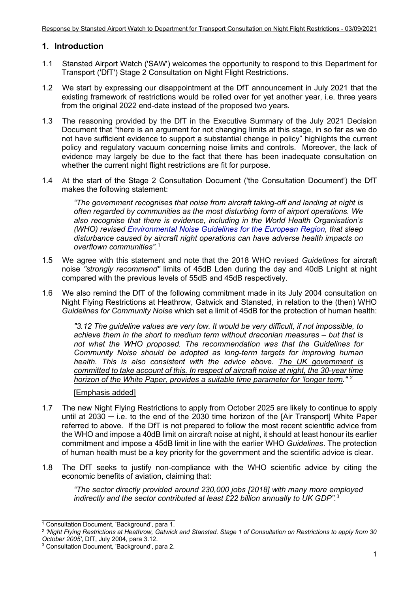# **1. Introduction**

- 1.1 Stansted Airport Watch ('SAW') welcomes the opportunity to respond to this Department for Transport ('DfT') Stage 2 Consultation on Night Flight Restrictions.
- 1.2 We start by expressing our disappointment at the DfT announcement in July 2021 that the existing framework of restrictions would be rolled over for yet another year, i.e. three years from the original 2022 end-date instead of the proposed two years.
- 1.3 The reasoning provided by the DfT in the Executive Summary of the July 2021 Decision Document that "there is an argument for not changing limits at this stage, in so far as we do not have sufficient evidence to support a substantial change in policy" highlights the current policy and regulatory vacuum concerning noise limits and controls. Moreover, the lack of evidence may largely be due to the fact that there has been inadequate consultation on whether the current night flight restrictions are fit for purpose.
- 1.4 At the start of the Stage 2 Consultation Document ('the Consultation Document') the DfT makes the following statement:

*"The government recognises that noise from aircraft taking-off and landing at night is often regarded by communities as the most disturbing form of airport operations. We also recognise that there is evidence, including in the World Health Organisation's (WHO) revised Environmental Noise Guidelines for the European Region, that sleep disturbance caused by aircraft night operations can have adverse health impacts on overflown communities".*[1](#page-1-0)

- 1.5 We agree with this statement and note that the 2018 WHO revised *Guidelines* for aircraft noise *"strongly recommend"* limits of 45dB Lden during the day and 40dB Lnight at night compared with the previous levels of 55dB and 45dB respectively.
- 1.6 We also remind the DfT of the following commitment made in its July 2004 consultation on Night Flying Restrictions at Heathrow, Gatwick and Stansted, in relation to the (then) WHO *Guidelines for Community Noise* which set a limit of 45dB for the protection of human health:

*"3.12 The guideline values are very low. It would be very difficult, if not impossible, to achieve them in the short to medium term without draconian measures – but that is not what the WHO proposed. The recommendation was that the Guidelines for Community Noise should be adopted as long-term targets for improving human health. This is also consistent with the advice above. The UK government is committed to take account of this. In respect of aircraft noise at night, the 30-year time horizon of the White Paper, provides a suitable time parameter for 'longer term."* [2](#page-1-1)

# [Emphasis added]

- 1.7 The new Night Flying Restrictions to apply from October 2025 are likely to continue to apply until at 2030 ─ i.e. to the end of the 2030 time horizon of the [Air Transport] White Paper referred to above. If the DfT is not prepared to follow the most recent scientific advice from the WHO and impose a 40dB limit on aircraft noise at night, it should at least honour its earlier commitment and impose a 45dB limit in line with the earlier WHO *Guidelines*. The protection of human health must be a key priority for the government and the scientific advice is clear.
- 1.8 The DfT seeks to justify non-compliance with the WHO scientific advice by citing the economic benefits of aviation, claiming that:

*"The sector directly provided around 230,000 jobs [2018] with many more employed indirectly and the sector contributed at least £22 billion annually to UK GDP".*[3](#page-1-2) 

\_\_\_\_\_\_\_\_\_\_\_\_\_\_\_\_\_\_\_\_\_\_\_\_\_\_\_\_\_\_\_ <sup>1</sup> Consultation Document, 'Background', para 1.

<span id="page-1-1"></span><span id="page-1-0"></span><sup>2</sup> *'Night Flying Restrictions at Heathrow, Gatwick and Stansted. Stage 1 of Consultation on Restrictions to apply from 30 October 2005'*, DfT, July 2004, para 3.12.

<span id="page-1-2"></span><sup>3</sup> Consultation Document, 'Background', para 2.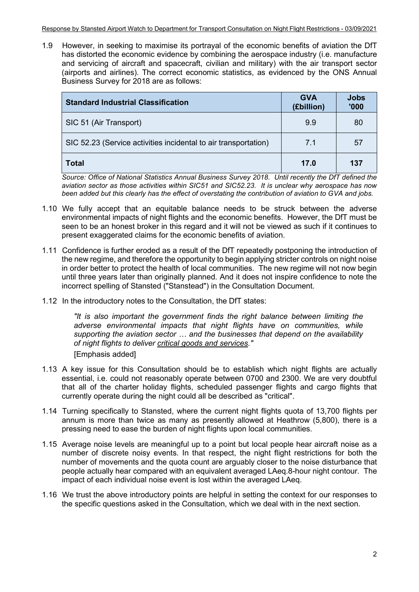1.9 However, in seeking to maximise its portrayal of the economic benefits of aviation the DfT has distorted the economic evidence by combining the aerospace industry (i.e. manufacture and servicing of aircraft and spacecraft, civilian and military) with the air transport sector (airports and airlines). The correct economic statistics, as evidenced by the ONS Annual Business Survey for 2018 are as follows:

| <b>Standard Industrial Classification</b>                       | <b>GVA</b><br>(£billion) | <b>Jobs</b><br>'000 |
|-----------------------------------------------------------------|--------------------------|---------------------|
| SIC 51 (Air Transport)                                          | 9.9                      | 80                  |
| SIC 52.23 (Service activities incidental to air transportation) | 71                       | 57                  |
| Total                                                           | 17.0                     | 137                 |

*Source: Office of National Statistics Annual Business Survey 2018. Until recently the DfT defined the aviation sector as those activities within SIC51 and SIC52.23. It is unclear why aerospace has now been added but this clearly has the effect of overstating the contribution of aviation to GVA and jobs.* 

- 1.10 We fully accept that an equitable balance needs to be struck between the adverse environmental impacts of night flights and the economic benefits. However, the DfT must be seen to be an honest broker in this regard and it will not be viewed as such if it continues to present exaggerated claims for the economic benefits of aviation.
- 1.11 Confidence is further eroded as a result of the DfT repeatedly postponing the introduction of the new regime, and therefore the opportunity to begin applying stricter controls on night noise in order better to protect the health of local communities. The new regime will not now begin until three years later than originally planned. And it does not inspire confidence to note the incorrect spelling of Stansted ("Stanstead") in the Consultation Document.
- 1.12 In the introductory notes to the Consultation, the DfT states:

*"It is also important the government finds the right balance between limiting the adverse environmental impacts that night flights have on communities, while supporting the aviation sector … and the businesses that depend on the availability of night flights to deliver critical goods and services."* [Emphasis added]

- 1.13 A key issue for this Consultation should be to establish which night flights are actually essential, i.e. could not reasonably operate between 0700 and 2300. We are very doubtful that all of the charter holiday flights, scheduled passenger flights and cargo flights that currently operate during the night could all be described as "critical".
- 1.14 Turning specifically to Stansted, where the current night flights quota of 13,700 flights per annum is more than twice as many as presently allowed at Heathrow (5,800), there is a pressing need to ease the burden of night flights upon local communities.
- 1.15 Average noise levels are meaningful up to a point but local people hear aircraft noise as a number of discrete noisy events. In that respect, the night flight restrictions for both the number of movements and the quota count are arguably closer to the noise disturbance that people actually hear compared with an equivalent averaged LAeq.8-hour night contour. The impact of each individual noise event is lost within the averaged LAeq.
- 1.16 We trust the above introductory points are helpful in setting the context for our responses to the specific questions asked in the Consultation, which we deal with in the next section.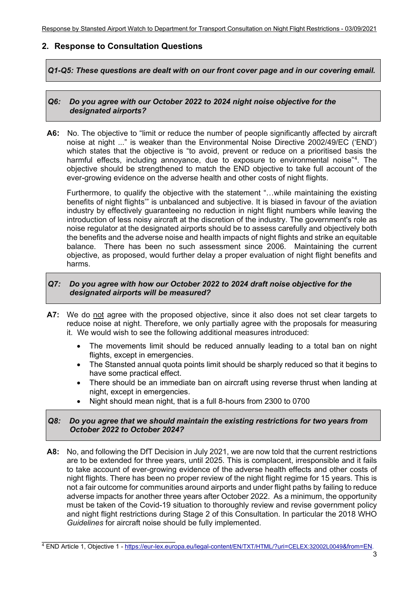# **2. Response to Consultation Questions**

*Q1-Q5: These questions are dealt with on our front cover page and in our covering email.* 

#### *Q6: Do you agree with our October 2022 to 2024 night noise objective for the designated airports?*

**A6:** No. The objective to "limit or reduce the number of people significantly affected by aircraft noise at night ..." is weaker than the Environmental Noise Directive 2002/49/EC ('END') which states that the objective is "to avoid, prevent or reduce on a prioritised basis the harmful effects, including annoyance, due to exposure to environmental noise"[4](#page-3-0) . The objective should be strengthened to match the END objective to take full account of the ever-growing evidence on the adverse health and other costs of night flights.

Furthermore, to qualify the objective with the statement "…while maintaining the existing benefits of night flights'" is unbalanced and subjective. It is biased in favour of the aviation industry by effectively guaranteeing no reduction in night flight numbers while leaving the introduction of less noisy aircraft at the discretion of the industry. The government's role as noise regulator at the designated airports should be to assess carefully and objectively both the benefits and the adverse noise and health impacts of night flights and strike an equitable balance. There has been no such assessment since 2006. Maintaining the current objective, as proposed, would further delay a proper evaluation of night flight benefits and harms.

#### *Q7: Do you agree with how our October 2022 to 2024 draft noise objective for the designated airports will be measured?*

- **A7:** We do not agree with the proposed objective, since it also does not set clear targets to reduce noise at night. Therefore, we only partially agree with the proposals for measuring it. We would wish to see the following additional measures introduced:
	- The movements limit should be reduced annually leading to a total ban on night flights, except in emergencies.
	- The Stansted annual quota points limit should be sharply reduced so that it begins to have some practical effect.
	- There should be an immediate ban on aircraft using reverse thrust when landing at night, except in emergencies.
	- Night should mean night, that is a full 8-hours from 2300 to 0700

#### *Q8: Do you agree that we should maintain the existing restrictions for two years from October 2022 to October 2024?*

**A8:** No, and following the DfT Decision in July 2021, we are now told that the current restrictions are to be extended for three years, until 2025. This is complacent, irresponsible and it fails to take account of ever-growing evidence of the adverse health effects and other costs of night flights. There has been no proper review of the night flight regime for 15 years. This is not a fair outcome for communities around airports and under flight paths by failing to reduce adverse impacts for another three years after October 2022. As a minimum, the opportunity must be taken of the Covid-19 situation to thoroughly review and revise government policy and night flight restrictions during Stage 2 of this Consultation. In particular the 2018 WHO *Guidelines* for aircraft noise should be fully implemented.

<span id="page-3-0"></span>\_\_\_\_\_\_\_\_\_\_\_\_\_\_\_\_\_\_\_\_\_\_\_\_\_\_\_\_\_\_\_ <sup>4</sup> END Article 1, Objective 1 - https://eur-lex.europa.eu/legal-content/EN/TXT/HTML/?uri=CELEX:32002L0049&from=EN.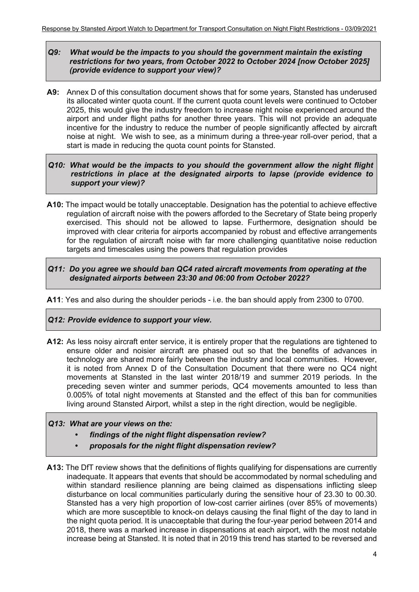#### *Q9: What would be the impacts to you should the government maintain the existing restrictions for two years, from October 2022 to October 2024 [now October 2025] (provide evidence to support your view)?*

- **A9:** Annex D of this consultation document shows that for some years, Stansted has underused its allocated winter quota count. If the current quota count levels were continued to October 2025, this would give the industry freedom to increase night noise experienced around the airport and under flight paths for another three years. This will not provide an adequate incentive for the industry to reduce the number of people significantly affected by aircraft noise at night. We wish to see, as a minimum during a three-year roll-over period, that a start is made in reducing the quota count points for Stansted.
- *Q10: What would be the impacts to you should the government allow the night flight restrictions in place at the designated airports to lapse (provide evidence to support your view)?*
- **A10:** The impact would be totally unacceptable. Designation has the potential to achieve effective regulation of aircraft noise with the powers afforded to the Secretary of State being properly exercised. This should not be allowed to lapse. Furthermore, designation should be improved with clear criteria for airports accompanied by robust and effective arrangements for the regulation of aircraft noise with far more challenging quantitative noise reduction targets and timescales using the powers that regulation provides

#### *Q11: Do you agree we should ban QC4 rated aircraft movements from operating at the designated airports between 23:30 and 06:00 from October 2022?*

**A11**: Yes and also during the shoulder periods - i.e. the ban should apply from 2300 to 0700.

#### *Q12: Provide evidence to support your view.*

**A12:** As less noisy aircraft enter service, it is entirely proper that the regulations are tightened to ensure older and noisier aircraft are phased out so that the benefits of advances in technology are shared more fairly between the industry and local communities. However, it is noted from Annex D of the Consultation Document that there were no QC4 night movements at Stansted in the last winter 2018/19 and summer 2019 periods. In the preceding seven winter and summer periods, QC4 movements amounted to less than 0.005% of total night movements at Stansted and the effect of this ban for communities living around Stansted Airport, whilst a step in the right direction, would be negligible.

#### *Q13: What are your views on the:*

- *• findings of the night flight dispensation review?*
- *• proposals for the night flight dispensation review?*
- **A13:** The DfT review shows that the definitions of flights qualifying for dispensations are currently inadequate. It appears that events that should be accommodated by normal scheduling and within standard resilience planning are being claimed as dispensations inflicting sleep disturbance on local communities particularly during the sensitive hour of 23.30 to 00.30. Stansted has a very high proportion of low-cost carrier airlines (over 85% of movements) which are more susceptible to knock-on delays causing the final flight of the day to land in the night quota period. It is unacceptable that during the four-year period between 2014 and 2018, there was a marked increase in dispensations at each airport, with the most notable increase being at Stansted. It is noted that in 2019 this trend has started to be reversed and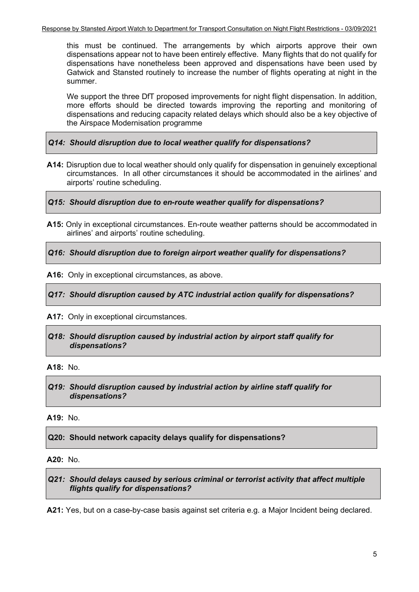this must be continued. The arrangements by which airports approve their own dispensations appear not to have been entirely effective. Many flights that do not qualify for dispensations have nonetheless been approved and dispensations have been used by Gatwick and Stansted routinely to increase the number of flights operating at night in the summer.

We support the three DfT proposed improvements for night flight dispensation. In addition, more efforts should be directed towards improving the reporting and monitoring of dispensations and reducing capacity related delays which should also be a key objective of the Airspace Modernisation programme

*Q14: Should disruption due to local weather qualify for dispensations?*

**A14:** Disruption due to local weather should only qualify for dispensation in genuinely exceptional circumstances. In all other circumstances it should be accommodated in the airlines' and airports' routine scheduling.

*Q15: Should disruption due to en-route weather qualify for dispensations?*

**A15:** Only in exceptional circumstances. En-route weather patterns should be accommodated in airlines' and airports' routine scheduling.

*Q16: Should disruption due to foreign airport weather qualify for dispensations?*

**A16:** Only in exceptional circumstances, as above.

*Q17: Should disruption caused by ATC industrial action qualify for dispensations?*

**A17:** Only in exceptional circumstances.

*Q18: Should disruption caused by industrial action by airport staff qualify for dispensations?*

**A18:** No.

*Q19: Should disruption caused by industrial action by airline staff qualify for dispensations?*

**A19:** No.

**Q20: Should network capacity delays qualify for dispensations?**

**A20:** No.

*Q21: Should delays caused by serious criminal or terrorist activity that affect multiple flights qualify for dispensations?*

**A21:** Yes, but on a case-by-case basis against set criteria e.g. a Major Incident being declared.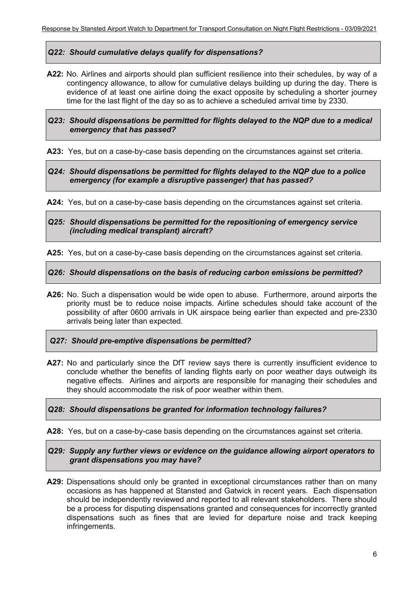#### *Q22: Should cumulative delays qualify for dispensations?*

**A22:** No. Airlines and airports should plan sufficient resilience into their schedules, by way of a contingency allowance, to allow for cumulative delays building up during the day. There is evidence of at least one airline doing the exact opposite by scheduling a shorter journey time for the last flight of the day so as to achieve a scheduled arrival time by 2330.

*Q23: Should dispensations be permitted for flights delayed to the NQP due to a medical emergency that has passed?*

**A23:** Yes, but on a case-by-case basis depending on the circumstances against set criteria.

*Q24: Should dispensations be permitted for flights delayed to the NQP due to a police emergency (for example a disruptive passenger) that has passed?*

**A24:** Yes, but on a case-by-case basis depending on the circumstances against set criteria.

*Q25: Should dispensations be permitted for the repositioning of emergency service (including medical transplant) aircraft?*

**A25:** Yes, but on a case-by-case basis depending on the circumstances against set criteria.

*Q26: Should dispensations on the basis of reducing carbon emissions be permitted?*

**A26:** No. Such a dispensation would be wide open to abuse. Furthermore, around airports the priority must be to reduce noise impacts. Airline schedules should take account of the possibility of after 0600 arrivals in UK airspace being earlier than expected and pre-2330 arrivals being later than expected.

*Q27: Should pre-emptive dispensations be permitted?*

**A27:** No and particularly since the DfT review says there is currently insufficient evidence to conclude whether the benefits of landing flights early on poor weather days outweigh its negative effects. Airlines and airports are responsible for managing their schedules and they should accommodate the risk of poor weather within them.

#### *Q28: Should dispensations be granted for information technology failures?*

**A28:** Yes, but on a case-by-case basis depending on the circumstances against set criteria.

*Q29: Supply any further views or evidence on the guidance allowing airport operators to grant dispensations you may have?*

**A29:** Dispensations should only be granted in exceptional circumstances rather than on many occasions as has happened at Stansted and Gatwick in recent years. Each dispensation should be independently reviewed and reported to all relevant stakeholders. There should be a process for disputing dispensations granted and consequences for incorrectly granted dispensations such as fines that are levied for departure noise and track keeping infringements.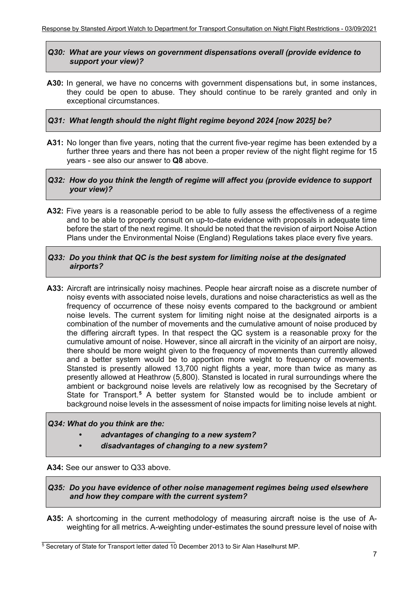#### *Q30: What are your views on government dispensations overall (provide evidence to support your view)?*

**A30:** In general, we have no concerns with government dispensations but, in some instances, they could be open to abuse. They should continue to be rarely granted and only in exceptional circumstances.

### *Q31: What length should the night flight regime beyond 2024 [now 2025] be?*

**A31:** No longer than five years, noting that the current five-year regime has been extended by a further three years and there has not been a proper review of the night flight regime for 15 years - see also our answer to **Q8** above.

#### *Q32: How do you think the length of regime will affect you (provide evidence to support your view)?*

**A32:** Five years is a reasonable period to be able to fully assess the effectiveness of a regime and to be able to properly consult on up-to-date evidence with proposals in adequate time before the start of the next regime. It should be noted that the revision of airport Noise Action Plans under the Environmental Noise (England) Regulations takes place every five years.

#### *Q33: Do you think that QC is the best system for limiting noise at the designated airports?*

**A33:** Aircraft are intrinsically noisy machines. People hear aircraft noise as a discrete number of noisy events with associated noise levels, durations and noise characteristics as well as the frequency of occurrence of these noisy events compared to the background or ambient noise levels. The current system for limiting night noise at the designated airports is a combination of the number of movements and the cumulative amount of noise produced by the differing aircraft types. In that respect the QC system is a reasonable proxy for the cumulative amount of noise. However, since all aircraft in the vicinity of an airport are noisy, there should be more weight given to the frequency of movements than currently allowed and a better system would be to apportion more weight to frequency of movements. Stansted is presently allowed 13,700 night flights a year, more than twice as many as presently allowed at Heathrow (5,800). Stansted is located in rural surroundings where the ambient or background noise levels are relatively low as recognised by the Secretary of State for Transport.<sup>[5](#page-7-0)</sup> A better system for Stansted would be to include ambient or background noise levels in the assessment of noise impacts for limiting noise levels at night.

#### *Q34: What do you think are the:*

- *• advantages of changing to a new system?*
- *• disadvantages of changing to a new system?*

#### **A34:** See our answer to Q33 above.

*Q35: Do you have evidence of other noise management regimes being used elsewhere and how they compare with the current system?*

**A35:** A shortcoming in the current methodology of measuring aircraft noise is the use of Aweighting for all metrics. A-weighting under-estimates the sound pressure level of noise with

<span id="page-7-0"></span>\_\_\_\_\_\_\_\_\_\_\_\_\_\_\_\_\_\_\_\_\_\_\_\_\_\_\_\_\_\_\_ <sup>5</sup> Secretary of State for Transport letter dated 10 December 2013 to Sir Alan Haselhurst MP.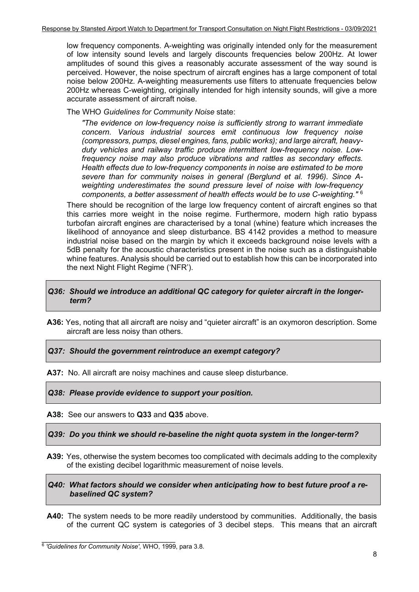low frequency components. A-weighting was originally intended only for the measurement of low intensity sound levels and largely discounts frequencies below 200Hz. At lower amplitudes of sound this gives a reasonably accurate assessment of the way sound is perceived. However, the noise spectrum of aircraft engines has a large component of total noise below 200Hz. A-weighting measurements use filters to attenuate frequencies below 200Hz whereas C-weighting, originally intended for high intensity sounds, will give a more accurate assessment of aircraft noise.

The WHO *Guidelines for Community Noise* state:

*"The evidence on low-frequency noise is sufficiently strong to warrant immediate concern. Various industrial sources emit continuous low frequency noise (compressors, pumps, diesel engines, fans, public works); and large aircraft, heavyduty vehicles and railway traffic produce intermittent low-frequency noise. Lowfrequency noise may also produce vibrations and rattles as secondary effects. Health effects due to low-frequency components in noise are estimated to be more severe than for community noises in general (Berglund et al. 1996). Since Aweighting underestimates the sound pressure level of noise with low-frequency components, a better assessment of health effects would be to use C-weighting."* [6](#page-8-0)

There should be recognition of the large low frequency content of aircraft engines so that this carries more weight in the noise regime. Furthermore, modern high ratio bypass turbofan aircraft engines are characterised by a tonal (whine) feature which increases the likelihood of annoyance and sleep disturbance. BS 4142 provides a method to measure industrial noise based on the margin by which it exceeds background noise levels with a 5dB penalty for the acoustic characteristics present in the noise such as a distinguishable whine features. Analysis should be carried out to establish how this can be incorporated into the next Night Flight Regime ('NFR').

#### *Q36: Should we introduce an additional QC category for quieter aircraft in the longerterm?*

**A36:** Yes, noting that all aircraft are noisy and "quieter aircraft" is an oxymoron description. Some aircraft are less noisy than others.

*Q37: Should the government reintroduce an exempt category?*

**A37:** No. All aircraft are noisy machines and cause sleep disturbance.

*Q38: Please provide evidence to support your position.*

**A38:** See our answers to **Q33** and **Q35** above.

*Q39: Do you think we should re-baseline the night quota system in the longer-term?*

**A39:** Yes, otherwise the system becomes too complicated with decimals adding to the complexity of the existing decibel logarithmic measurement of noise levels.

*Q40: What factors should we consider when anticipating how to best future proof a rebaselined QC system?*

**A40:** The system needs to be more readily understood by communities. Additionally, the basis of the current QC system is categories of 3 decibel steps. This means that an aircraft

<span id="page-8-0"></span>\_\_\_\_\_\_\_\_\_\_\_\_\_\_\_\_\_\_\_\_\_\_\_\_\_\_\_\_\_\_\_ <sup>6</sup> *'Guidelines for Community Noise'*, WHO, 1999, para 3.8.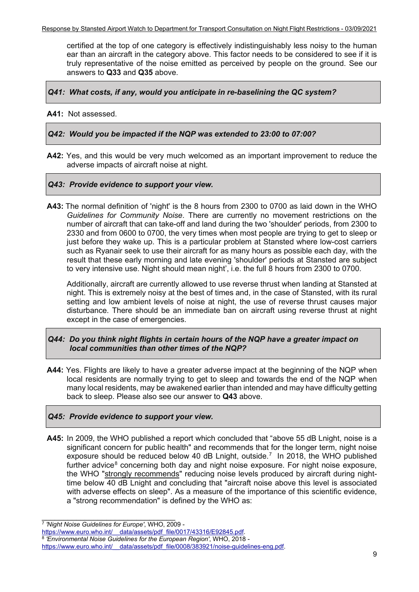certified at the top of one category is effectively indistinguishably less noisy to the human ear than an aircraft in the category above. This factor needs to be considered to see if it is truly representative of the noise emitted as perceived by people on the ground. See our answers to **Q33** and **Q35** above.

*Q41: What costs, if any, would you anticipate in re-baselining the QC system?*

#### **A41:** Not assessed.

*Q42: Would you be impacted if the NQP was extended to 23:00 to 07:00?*

**A42:** Yes, and this would be very much welcomed as an important improvement to reduce the adverse impacts of aircraft noise at night.

#### *Q43: Provide evidence to support your view.*

**A43:** The normal definition of 'night' is the 8 hours from 2300 to 0700 as laid down in the WHO *Guidelines for Community Noise*. There are currently no movement restrictions on the number of aircraft that can take-off and land during the two 'shoulder' periods, from 2300 to 2330 and from 0600 to 0700, the very times when most people are trying to get to sleep or just before they wake up. This is a particular problem at Stansted where low-cost carriers such as Ryanair seek to use their aircraft for as many hours as possible each day, with the result that these early morning and late evening 'shoulder' periods at Stansted are subject to very intensive use. Night should mean night', i.e. the full 8 hours from 2300 to 0700.

Additionally, aircraft are currently allowed to use reverse thrust when landing at Stansted at night. This is extremely noisy at the best of times and, in the case of Stansted, with its rural setting and low ambient levels of noise at night, the use of reverse thrust causes major disturbance. There should be an immediate ban on aircraft using reverse thrust at night except in the case of emergencies.

#### *Q44: Do you think night flights in certain hours of the NQP have a greater impact on local communities than other times of the NQP?*

**A44:** Yes. Flights are likely to have a greater adverse impact at the beginning of the NQP when local residents are normally trying to get to sleep and towards the end of the NQP when many local residents, may be awakened earlier than intended and may have difficulty getting back to sleep. Please also see our answer to **Q43** above.

# *Q45: Provide evidence to support your view.*

**A45:** In 2009, the WHO published a report which concluded that "above 55 dB Lnight, noise is a significant concern for public health" and recommends that for the longer term, night noise exposure should be reduced below 40 dB Lnight, outside. [7](#page-9-0) In 2018, the WHO published further advice<sup>[8](#page-9-1)</sup> concerning both day and night noise exposure. For night noise exposure, the WHO "strongly recommends" reducing noise levels produced by aircraft during nighttime below 40 dB Lnight and concluding that "aircraft noise above this level is associated with adverse effects on sleep". As a measure of the importance of this scientific evidence, a "strong recommendation" is defined by the WHO as:

\_\_\_\_\_\_\_\_\_\_\_\_\_\_\_\_\_\_\_\_\_\_\_\_\_\_\_\_\_\_\_ <sup>7</sup> *'Night Noise Guidelines for Europe'*, WHO, 2009 -

<span id="page-9-1"></span><span id="page-9-0"></span>https://www.euro.who.int/ data/assets/pdf file/0017/43316/E92845.pdf. <sup>8</sup> *'Environmental Noise Guidelines for the European Region'*, WHO, 2018 https://www.euro.who.int/\_\_data/assets/pdf\_file/0008/383921/noise-guidelines-eng.pdf.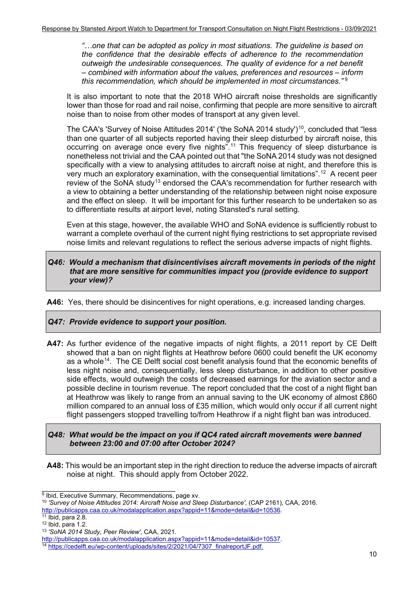*"…one that can be adopted as policy in most situations. The guideline is based on the confidence that the desirable effects of adherence to the recommendation outweigh the undesirable consequences. The quality of evidence for a net benefit – combined with information about the values, preferences and resources – inform this recommendation, which should be implemented in most circumstances."* [9](#page-10-0)

It is also important to note that the 2018 WHO aircraft noise thresholds are significantly lower than those for road and rail noise, confirming that people are more sensitive to aircraft noise than to noise from other modes of transport at any given level.

The CAA's 'Survey of Noise Attitudes 2014' ('the SoNA 2014 study')<sup>10</sup>, concluded that "less than one quarter of all subjects reported having their sleep disturbed by aircraft noise, this occurring on average once every five nights". [11](#page-10-2) This frequency of sleep disturbance is nonetheless not trivial and the CAA pointed out that "the SoNA 2014 study was not designed specifically with a view to analysing attitudes to aircraft noise at night, and therefore this is very much an exploratory examination, with the consequential limitations".[12](#page-10-3) A recent peer review of the SoNA study<sup>[13](#page-10-4)</sup> endorsed the CAA's recommendation for further research with a view to obtaining a better understanding of the relationship between night noise exposure and the effect on sleep. It will be important for this further research to be undertaken so as to differentiate results at airport level, noting Stansted's rural setting.

Even at this stage, however, the available WHO and SoNA evidence is sufficiently robust to warrant a complete overhaul of the current night flying restrictions to set appropriate revised noise limits and relevant regulations to reflect the serious adverse impacts of night flights.

#### *Q46: Would a mechanism that disincentivises aircraft movements in periods of the night that are more sensitive for communities impact you (provide evidence to support your view)?*

**A46:** Yes, there should be disincentives for night operations, e.g. increased landing charges.

#### *Q47: Provide evidence to support your position.*

**A47:** As further evidence of the negative impacts of night flights, a 2011 report by CE Delft showed that a ban on night flights at Heathrow before 0600 could benefit the UK economy as a whole<sup>14</sup>. The CE Delft social cost benefit analysis found that the economic benefits of less night noise and, consequentially, less sleep disturbance, in addition to other positive side effects, would outweigh the costs of decreased earnings for the aviation sector and a possible decline in tourism revenue. The report concluded that the cost of a night flight ban at Heathrow was likely to range from an annual saving to the UK economy of almost £860 million compared to an annual loss of £35 million, which would only occur if all current night flight passengers stopped travelling to/from Heathrow if a night flight ban was introduced.

#### *Q48: What would be the impact on you if QC4 rated aircraft movements were banned between 23:00 and 07:00 after October 2024?*

**A48:** This would be an important step in the right direction to reduce the adverse impacts of aircraft noise at night. This should apply from October 2022.

\_\_\_\_\_\_\_\_\_\_\_\_\_\_\_\_\_\_\_\_\_\_\_\_\_\_\_\_\_\_\_  $^9$  Ibid, Executive Summary, Recommendations, page xv.

<span id="page-10-1"></span><span id="page-10-0"></span><sup>10</sup> *'Survey of Noise Attitudes 2014: Aircraft Noise and Sleep Disturbance'*, (CAP 2161), CAA, 2016. http://publicapps.caa.co.uk/modalapplication.aspx?appid=11&mode=detail&id=10536.

<span id="page-10-2"></span> $11$  Ibid, para 2.8.

<span id="page-10-3"></span><sup>12</sup> Ibid, para 1.2.

<span id="page-10-4"></span><sup>13</sup> *'SoNA 2014 Study, Peer Review'*, CAA, 2021.

<span id="page-10-5"></span><sup>&</sup>lt;sup>14</sup> https://cedelft.eu/wp-content/uploads/sites/2/2021/04/7307\_finalreportJF.pdf.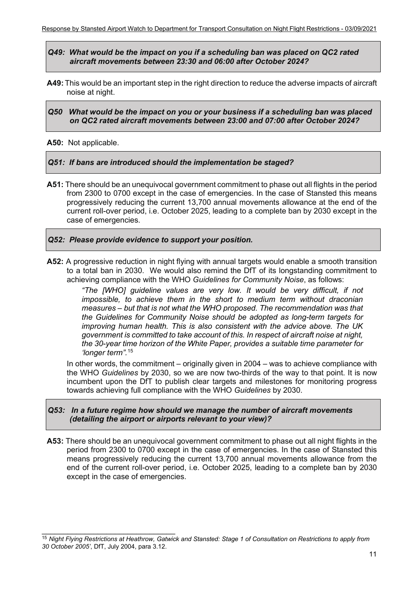*Q49: What would be the impact on you if a scheduling ban was placed on QC2 rated aircraft movements between 23:30 and 06:00 after October 2024?*

- **A49:** This would be an important step in the right direction to reduce the adverse impacts of aircraft noise at night.
- *Q50 What would be the impact on you or your business if a scheduling ban was placed on QC2 rated aircraft movements between 23:00 and 07:00 after October 2024?*

#### **A50:** Not applicable.

#### *Q51: If bans are introduced should the implementation be staged?*

**A51:** There should be an unequivocal government commitment to phase out all flights in the period from 2300 to 0700 except in the case of emergencies. In the case of Stansted this means progressively reducing the current 13,700 annual movements allowance at the end of the current roll-over period, i.e. October 2025, leading to a complete ban by 2030 except in the case of emergencies.

#### *Q52: Please provide evidence to support your position.*

**A52:** A progressive reduction in night flying with annual targets would enable a smooth transition to a total ban in 2030. We would also remind the DfT of its longstanding commitment to achieving compliance with the WHO *Guidelines for Community Noise*, as follows:

> *"The [WHO] guideline values are very low. It would be very difficult, if not impossible, to achieve them in the short to medium term without draconian measures – but that is not what the WHO proposed. The recommendation was that the Guidelines for Community Noise should be adopted as long-term targets for improving human health. This is also consistent with the advice above. The UK government is committed to take account of this. In respect of aircraft noise at night, the 30-year time horizon of the White Paper, provides a suitable time parameter for 'longer term".*[15](#page-11-0)

In other words, the commitment – originally given in 2004 – was to achieve compliance with the WHO *Guidelines* by 2030, so we are now two-thirds of the way to that point. It is now incumbent upon the DfT to publish clear targets and milestones for monitoring progress towards achieving full compliance with the WHO *Guidelines* by 2030.

#### *Q53: In a future regime how should we manage the number of aircraft movements (detailing the airport or airports relevant to your view)?*

**A53:** There should be an unequivocal government commitment to phase out all night flights in the period from 2300 to 0700 except in the case of emergencies. In the case of Stansted this means progressively reducing the current 13,700 annual movements allowance from the end of the current roll-over period, i.e. October 2025, leading to a complete ban by 2030 except in the case of emergencies.

 $\_$ 

<span id="page-11-0"></span><sup>15</sup> *Night Flying Restrictions at Heathrow, Gatwick and Stansted: Stage 1 of Consultation on Restrictions to apply from 30 October 2005'*, DfT, July 2004, para 3.12.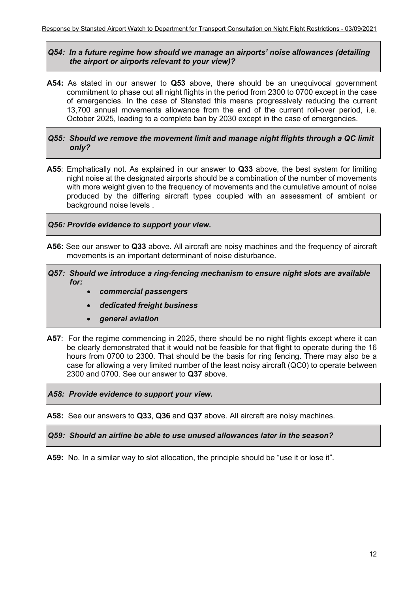#### *Q54: In a future regime how should we manage an airports' noise allowances (detailing the airport or airports relevant to your view)?*

**A54:** As stated in our answer to **Q53** above, there should be an unequivocal government commitment to phase out all night flights in the period from 2300 to 0700 except in the case of emergencies. In the case of Stansted this means progressively reducing the current 13,700 annual movements allowance from the end of the current roll-over period, i.e. October 2025, leading to a complete ban by 2030 except in the case of emergencies.

#### *Q55: Should we remove the movement limit and manage night flights through a QC limit only?*

**A55**: Emphatically not. As explained in our answer to **Q33** above, the best system for limiting night noise at the designated airports should be a combination of the number of movements with more weight given to the frequency of movements and the cumulative amount of noise produced by the differing aircraft types coupled with an assessment of ambient or background noise levels .

#### *Q56: Provide evidence to support your view.*

**A56:** See our answer to **Q33** above. All aircraft are noisy machines and the frequency of aircraft movements is an important determinant of noise disturbance.

#### *Q57: Should we introduce a ring-fencing mechanism to ensure night slots are available for:*

- *commercial passengers*
- *dedicated freight business*
- *general aviation*
- **A57**: For the regime commencing in 2025, there should be no night flights except where it can be clearly demonstrated that it would not be feasible for that flight to operate during the 16 hours from 0700 to 2300. That should be the basis for ring fencing. There may also be a case for allowing a very limited number of the least noisy aircraft (QC0) to operate between 2300 and 0700. See our answer to **Q37** above.

#### *A58: Provide evidence to support your view.*

**A58:** See our answers to **Q33**, **Q36** and **Q37** above. All aircraft are noisy machines.

#### *Q59: Should an airline be able to use unused allowances later in the season?*

A59: No. In a similar way to slot allocation, the principle should be "use it or lose it".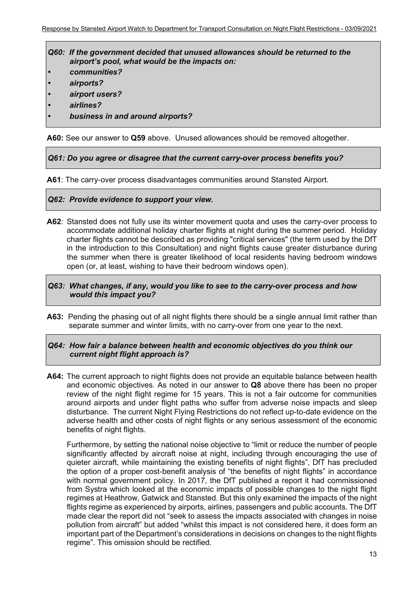*Q60: If the government decided that unused allowances should be returned to the airport's pool, what would be the impacts on:*

- *• communities?*
- *• airports?*
- *• airport users?*
- *• airlines?*
- *• business in and around airports?*

**A60:** See our answer to **Q59** above. Unused allowances should be removed altogether.

*Q61: Do you agree or disagree that the current carry-over process benefits you?*

**A61**: The carry-over process disadvantages communities around Stansted Airport.

#### *Q62: Provide evidence to support your view.*

**A62**: Stansted does not fully use its winter movement quota and uses the carry-over process to accommodate additional holiday charter flights at night during the summer period. Holiday charter flights cannot be described as providing "critical services" (the term used by the DfT in the introduction to this Consultation) and night flights cause greater disturbance during the summer when there is greater likelihood of local residents having bedroom windows open (or, at least, wishing to have their bedroom windows open).

#### *Q63: What changes, if any, would you like to see to the carry-over process and how would this impact you?*

**A63:** Pending the phasing out of all night flights there should be a single annual limit rather than separate summer and winter limits, with no carry-over from one year to the next.

#### *Q64: How fair a balance between health and economic objectives do you think our current night flight approach is?*

**A64:** The current approach to night flights does not provide an equitable balance between health and economic objectives. As noted in our answer to **Q8** above there has been no proper review of the night flight regime for 15 years. This is not a fair outcome for communities around airports and under flight paths who suffer from adverse noise impacts and sleep disturbance. The current Night Flying Restrictions do not reflect up-to-date evidence on the adverse health and other costs of night flights or any serious assessment of the economic benefits of night flights.

Furthermore, by setting the national noise objective to "limit or reduce the number of people significantly affected by aircraft noise at night, including through encouraging the use of quieter aircraft, while maintaining the existing benefits of night flights", DfT has precluded the option of a proper cost-benefit analysis of "the benefits of night flights" in accordance with normal government policy. In 2017, the DfT published a report it had commissioned from Systra which looked at the economic impacts of possible changes to the night flight regimes at Heathrow, Gatwick and Stansted. But this only examined the impacts of the night flights regime as experienced by airports, airlines, passengers and public accounts. The DfT made clear the report did not "seek to assess the impacts associated with changes in noise pollution from aircraft" but added "whilst this impact is not considered here, it does form an important part of the Department's considerations in decisions on changes to the night flights regime". This omission should be rectified.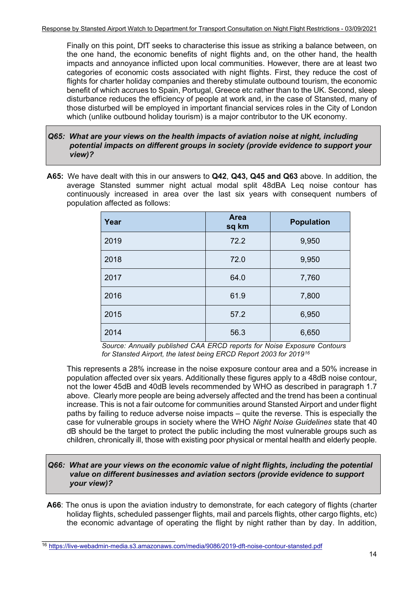Finally on this point, DfT seeks to characterise this issue as striking a balance between, on the one hand, the economic benefits of night flights and, on the other hand, the health impacts and annoyance inflicted upon local communities. However, there are at least two categories of economic costs associated with night flights. First, they reduce the cost of flights for charter holiday companies and thereby stimulate outbound tourism, the economic benefit of which accrues to Spain, Portugal, Greece etc rather than to the UK. Second, sleep disturbance reduces the efficiency of people at work and, in the case of Stansted, many of those disturbed will be employed in important financial services roles in the City of London which (unlike outbound holiday tourism) is a major contributor to the UK economy.

- *Q65: What are your views on the health impacts of aviation noise at night, including potential impacts on different groups in society (provide evidence to support your view)?*
- **A65:** We have dealt with this in our answers to **Q42**, **Q43, Q45 and Q63** above. In addition, the average Stansted summer night actual modal split 48dBA Leq noise contour has continuously increased in area over the last six years with consequent numbers of population affected as follows:

| Year | <b>Area</b><br>sq km | <b>Population</b> |  |
|------|----------------------|-------------------|--|
| 2019 | 72.2                 | 9,950             |  |
| 2018 | 72.0                 | 9,950             |  |
| 2017 | 64.0                 | 7,760             |  |
| 2016 | 61.9                 | 7,800             |  |
| 2015 | 57.2                 | 6,950             |  |
| 2014 | 56.3                 | 6,650             |  |

*Source: Annually published CAA ERCD reports for Noise Exposure Contours for Stansted Airport, the latest being ERCD Report 2003 for 2019[16](#page-14-0)*

This represents a 28% increase in the noise exposure contour area and a 50% increase in population affected over six years. Additionally these figures apply to a 48dB noise contour, not the lower 45dB and 40dB levels recommended by WHO as described in paragraph 1.7 above. Clearly more people are being adversely affected and the trend has been a continual increase. This is not a fair outcome for communities around Stansted Airport and under flight paths by failing to reduce adverse noise impacts – quite the reverse. This is especially the case for vulnerable groups in society where the WHO *Night Noise Guidelines* state that 40 dB should be the target to protect the public including the most vulnerable groups such as children, chronically ill, those with existing poor physical or mental health and elderly people.

#### *Q66: What are your views on the economic value of night flights, including the potential value on different businesses and aviation sectors (provide evidence to support your view)?*

**A66**: The onus is upon the aviation industry to demonstrate, for each category of flights (charter holiday flights, scheduled passenger flights, mail and parcels flights, other cargo flights, etc) the economic advantage of operating the flight by night rather than by day. In addition,

\_\_\_\_\_\_\_\_\_\_\_\_\_\_\_\_\_\_\_\_\_\_\_\_\_\_\_\_\_\_\_

<span id="page-14-0"></span><sup>16</sup> https://live-webadmin-media.s3.amazonaws.com/media/9086/2019-dft-noise-contour-stansted.pdf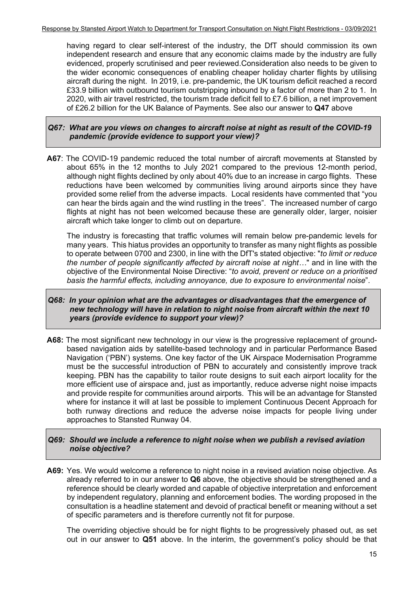having regard to clear self-interest of the industry, the DfT should commission its own independent research and ensure that any economic claims made by the industry are fully evidenced, properly scrutinised and peer reviewed.Consideration also needs to be given to the wider economic consequences of enabling cheaper holiday charter flights by utilising aircraft during the night. In 2019, i.e. pre-pandemic, the UK tourism deficit reached a record £33.9 billion with outbound tourism outstripping inbound by a factor of more than 2 to 1. In 2020, with air travel restricted, the tourism trade deficit fell to £7.6 billion, a net improvement of £26.2 billion for the UK Balance of Payments. See also our answer to **Q47** above

#### *Q67: What are you views on changes to aircraft noise at night as result of the COVID-19 pandemic (provide evidence to support your view)?*

**A67**: The COVID-19 pandemic reduced the total number of aircraft movements at Stansted by about 65% in the 12 months to July 2021 compared to the previous 12-month period, although night flights declined by only about 40% due to an increase in cargo flights. These reductions have been welcomed by communities living around airports since they have provided some relief from the adverse impacts. Local residents have commented that "you can hear the birds again and the wind rustling in the trees". The increased number of cargo flights at night has not been welcomed because these are generally older, larger, noisier aircraft which take longer to climb out on departure.

The industry is forecasting that traffic volumes will remain below pre-pandemic levels for many years. This hiatus provides an opportunity to transfer as many night flights as possible to operate between 0700 and 2300, in line with the DfT's stated objective: "*to limit or reduce the number of people significantly affected by aircraft noise at night…*" and in line with the objective of the Environmental Noise Directive: "*to avoid, prevent or reduce on a prioritised basis the harmful effects, including annoyance, due to exposure to environmental noise*".

#### *Q68: In your opinion what are the advantages or disadvantages that the emergence of new technology will have in relation to night noise from aircraft within the next 10 years (provide evidence to support your view)?*

**A68:** The most significant new technology in our view is the progressive replacement of groundbased navigation aids by satellite-based technology and in particular Performance Based Navigation ('PBN') systems. One key factor of the UK Airspace Modernisation Programme must be the successful introduction of PBN to accurately and consistently improve track keeping. PBN has the capability to tailor route designs to suit each airport locality for the more efficient use of airspace and, just as importantly, reduce adverse night noise impacts and provide respite for communities around airports. This will be an advantage for Stansted where for instance it will at last be possible to implement Continuous Decent Approach for both runway directions and reduce the adverse noise impacts for people living under approaches to Stansted Runway 04.

#### *Q69: Should we include a reference to night noise when we publish a revised aviation noise objective?*

**A69:** Yes. We would welcome a reference to night noise in a revised aviation noise objective. As already referred to in our answer to **Q6** above, the objective should be strengthened and a reference should be clearly worded and capable of objective interpretation and enforcement by independent regulatory, planning and enforcement bodies. The wording proposed in the consultation is a headline statement and devoid of practical benefit or meaning without a set of specific parameters and is therefore currently not fit for purpose.

The overriding objective should be for night flights to be progressively phased out, as set out in our answer to **Q51** above. In the interim, the government's policy should be that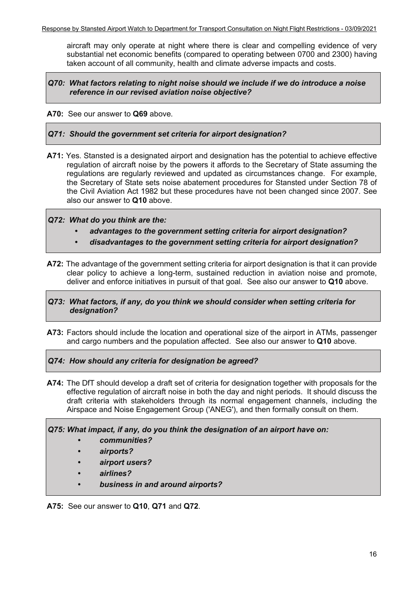aircraft may only operate at night where there is clear and compelling evidence of very substantial net economic benefits (compared to operating between 0700 and 2300) having taken account of all community, health and climate adverse impacts and costs.

#### *Q70: What factors relating to night noise should we include if we do introduce a noise reference in our revised aviation noise objective?*

**A70:** See our answer to **Q69** above.

*Q71: Should the government set criteria for airport designation?*

**A71:** Yes. Stansted is a designated airport and designation has the potential to achieve effective regulation of aircraft noise by the powers it affords to the Secretary of State assuming the regulations are regularly reviewed and updated as circumstances change. For example, the Secretary of State sets noise abatement procedures for Stansted under Section 78 of the Civil Aviation Act 1982 but these procedures have not been changed since 2007. See also our answer to **Q10** above.

*Q72: What do you think are the:*

- *• advantages to the government setting criteria for airport designation?*
- *• disadvantages to the government setting criteria for airport designation?*
- **A72:** The advantage of the government setting criteria for airport designation is that it can provide clear policy to achieve a long-term, sustained reduction in aviation noise and promote, deliver and enforce initiatives in pursuit of that goal. See also our answer to **Q10** above.

#### *Q73: What factors, if any, do you think we should consider when setting criteria for designation?*

**A73:** Factors should include the location and operational size of the airport in ATMs, passenger and cargo numbers and the population affected. See also our answer to **Q10** above.

*Q74: How should any criteria for designation be agreed?*

**A74:** The DfT should develop a draft set of criteria for designation together with proposals for the effective regulation of aircraft noise in both the day and night periods. It should discuss the draft criteria with stakeholders through its normal engagement channels, including the Airspace and Noise Engagement Group ('ANEG'), and then formally consult on them.

*Q75: What impact, if any, do you think the designation of an airport have on:*

- *• communities?*
- *• airports?*
- *• airport users?*
- *• airlines?*
- *• business in and around airports?*

**A75:** See our answer to **Q10**, **Q71** and **Q72**.